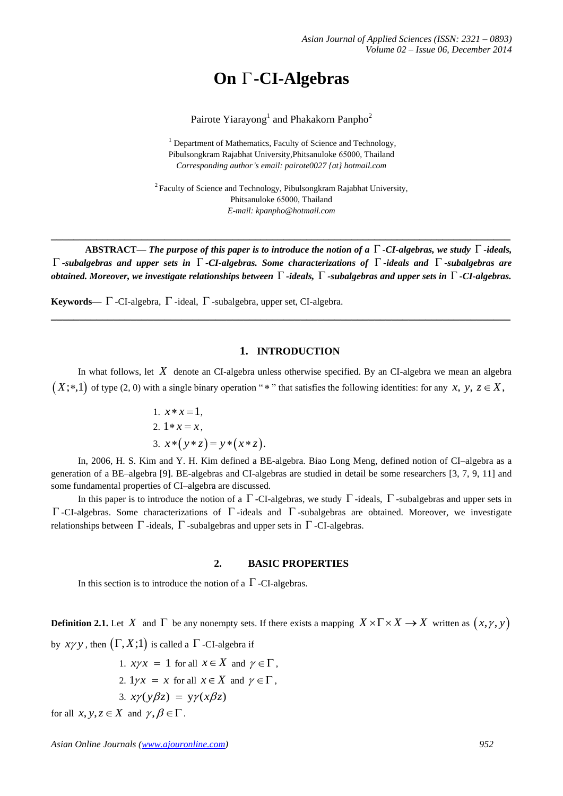# **On -CI-Algebras**

Pairote Yiarayong<sup>1</sup> and Phakakorn Panpho<sup>2</sup>

 $<sup>1</sup>$  Department of Mathematics, Faculty of Science and Technology,</sup> Pibulsongkram Rajabhat University,Phitsanuloke 65000, Thailand *Corresponding author's email: pairote0027 {at} hotmail.com*

 $2F$ Faculty of Science and Technology, Pibulsongkram Rajabhat University, Phitsanuloke 65000, Thailand *E-mail: kpanpho@hotmail.com*

**ABSTRACT—** *The purpose of this paper is to introduce the notion of a*  $\Gamma$  -*CI*-algebras, we study  $\Gamma$  -ideals, *-subalgebras and upper sets in -CI-algebras. Some characterizations of -ideals and -subalgebras are obtained. Moreover, we investigate relationships between -ideals, -subalgebras and upper sets in -CI-algebras.* 

**\_\_\_\_\_\_\_\_\_\_\_\_\_\_\_\_\_\_\_\_\_\_\_\_\_\_\_\_\_\_\_\_\_\_\_\_\_\_\_\_\_\_\_\_\_\_\_\_\_\_\_\_\_\_\_\_\_\_\_\_\_\_\_\_\_\_\_\_\_\_\_\_\_\_\_\_\_\_\_\_\_**

**\_\_\_\_\_\_\_\_\_\_\_\_\_\_\_\_\_\_\_\_\_\_\_\_\_\_\_\_\_\_\_\_\_\_\_\_\_\_\_\_\_\_\_\_\_\_\_\_\_\_\_\_\_\_\_\_\_\_\_\_\_\_\_\_\_\_\_\_\_\_\_\_\_\_\_\_\_\_\_\_\_**

Keywords—  $\Gamma$  -CI-algebra,  $\Gamma$  -ideal,  $\Gamma$  -subalgebra, upper set, CI-algebra.

### **1. INTRODUCTION**

In what follows, let *X* denote an CI-algebra unless otherwise specified. By an CI-algebra we mean an algebra  $(X;*,1)$  of type (2, 0) with a single binary operation "\*" that satisfies the following identities: for any x, y,  $z \in X$ ,

1. 
$$
x * x = 1
$$
,  
\n2.  $1 * x = x$ ,  
\n3.  $x * (y * z) = y * (x * z)$ .

In, 2006, H. S. Kim and Y. H. Kim defined a BE-algebra. Biao Long Meng, defined notion of CI–algebra as a generation of a BE–algebra [9]. BE-algebras and CI-algebras are studied in detail be some researchers [3, 7, 9, 11] and some fundamental properties of CI–algebra are discussed.

In this paper is to introduce the notion of a  $\Gamma$ -CI-algebras, we study  $\Gamma$ -ideals,  $\Gamma$ -subalgebras and upper sets in  $\Gamma$ -CI-algebras. Some characterizations of  $\Gamma$ -ideals and  $\Gamma$ -subalgebras are obtained. Moreover, we investigate relationships between  $\Gamma$  -ideals,  $\Gamma$  -subalgebras and upper sets in  $\Gamma$  -CI-algebras.

### **2. BASIC PROPERTIES**

In this section is to introduce the notion of a  $\Gamma$ -CI-algebras.

**Definition 2.1.** Let X and  $\Gamma$  be any nonempty sets. If there exists a mapping  $X \times \Gamma \times X \to X$  written as  $(x, y, y)$ by  $xyy$ , then  $(\Gamma, X; 1)$  is called a  $\Gamma$  -CI-algebra if

1.  $x \gamma x = 1$  for all  $x \in X$  and  $\gamma \in \Gamma$ , 2.  $1\gamma x = x$  for all  $x \in X$  and  $\gamma \in \Gamma$ , 3.  $x\gamma(y\beta z) = y\gamma(x\beta z)$ for all  $x, y, z \in X$  and  $\gamma, \beta \in \Gamma$ .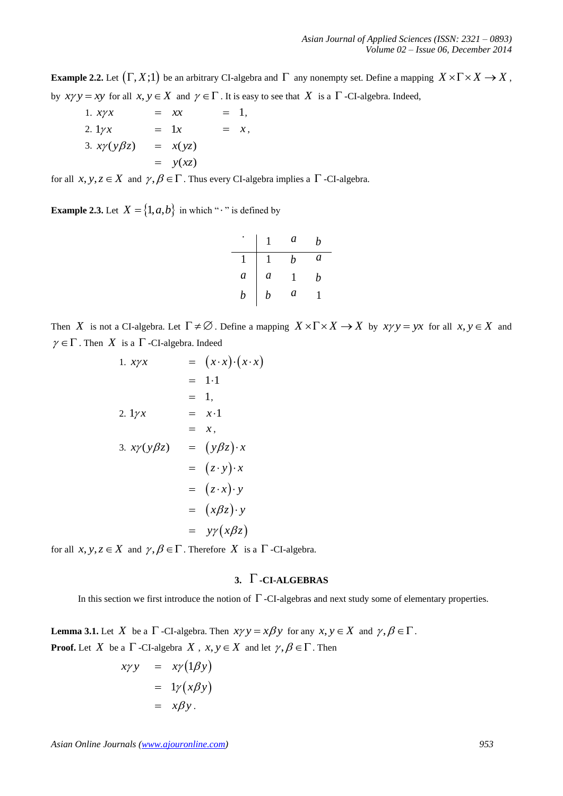**Example 2.2.** Let  $(\Gamma, X; 1)$  be an arbitrary CI-algebra and  $\Gamma$  any nonempty set. Define a mapping  $X \times \Gamma \times X \to X$ , by  $xyy = xy$  for all  $x, y \in X$  and  $y \in \Gamma$ . It is easy to see that X is a  $\Gamma$ -CI-algebra. Indeed,

1. 
$$
x \gamma x
$$
 =  $xx$  = 1,  
\n2.  $1 \gamma x$  =  $1x$  =  $x$ ,  
\n3.  $x \gamma (y \beta z)$  =  $x(yz)$   
\n=  $y(xz)$ 

for all  $x, y, z \in X$  and  $\gamma, \beta \in \Gamma$ . Thus every CI-algebra implies a  $\Gamma$ -CI-algebra.

**Example 2.3.** Let  $X = \{1, a, b\}$  in which " $\cdot$ " is defined by

|   |   | a | b |
|---|---|---|---|
|   |   | b | a |
| a | a | ı | b |
| h | b | a |   |

Then X is not a CI-algebra. Let  $\Gamma \neq \emptyset$ . Define a mapping  $X \times \Gamma \times X \rightarrow X$  by  $x \gamma y = yx$  for all  $x, y \in X$  and  $\gamma \in \Gamma$ . Then X is a  $\Gamma$ -CI-algebra. Indeed

1. 
$$
xyx = (x \cdot x) \cdot (x \cdot x)
$$
  
\n
$$
= 1 \cdot 1
$$
  
\n
$$
= 1.
$$
  
\n2. 
$$
1 \gamma x = x \cdot 1
$$
  
\n
$$
= x.
$$
  
\n3. 
$$
xy(y\beta z) = (y\beta z) \cdot x
$$
  
\n
$$
= (z \cdot y) \cdot x
$$
  
\n
$$
= (z \cdot x) \cdot y
$$
  
\n
$$
= (x\beta z) \cdot y
$$
  
\n
$$
= y\gamma (x\beta z)
$$

for all  $x, y, z \in X$  and  $\gamma, \beta \in \Gamma$ . Therefore X is a  $\Gamma$ -CI-algebra.

## **3. -CI-ALGEBRAS**

In this section we first introduce the notion of  $\Gamma$  -CI-algebras and next study some of elementary properties.

**Lemma 3.1.** Let X be a  $\Gamma$  -CI-algebra. Then  $x \gamma y = x \beta y$  for any  $x, y \in X$  and  $\gamma, \beta \in \Gamma$ . **Proof.** Let X be a  $\Gamma$  -CI-algebra X,  $x, y \in X$  and let  $\gamma, \beta \in \Gamma$ . Then

$$
xyy = xy(1\beta y)
$$
  
=  $1y(x\beta y)$   
=  $x\beta y$ .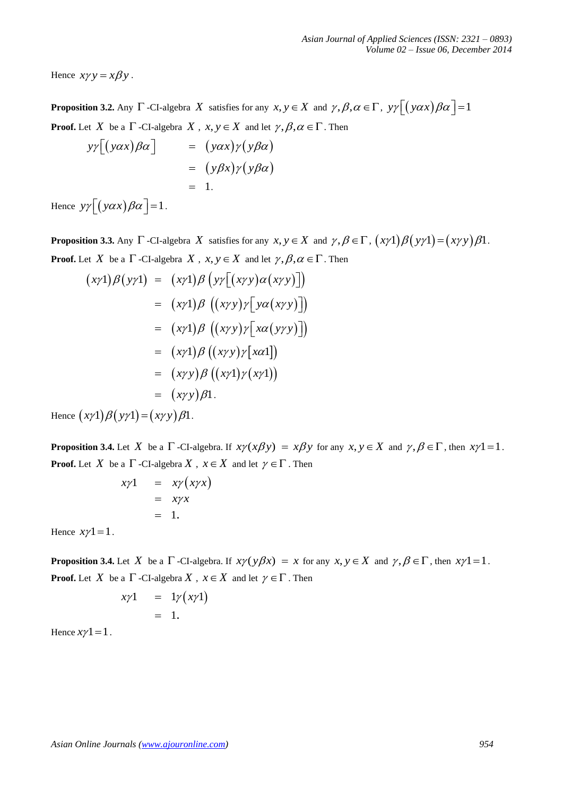Hence  $xy y = x \beta y$ .

**Proposition 3.2.** Any  $\Gamma$  -CI-algebra X satisfies for any  $x, y \in X$  and  $\gamma, \beta, \alpha \in \Gamma$ ,  $y\gamma \left[ (y\alpha x)\beta\alpha \right] = 1$ **Proof.** Let X be a  $\Gamma$  -CI-algebra X,  $x, y \in X$  and let  $\gamma, \beta, \alpha \in \Gamma$ . Then

$$
y\gamma[(y\alpha x)\beta\alpha] = (y\alpha x)\gamma(y\beta\alpha)
$$
  
=  $(y\beta x)\gamma(y\beta\alpha)$   
= 1.

Hence  $y\gamma[(y\alpha x)\beta\alpha]=1$ .

**Proposition 3.3.** Any  $\Gamma$  -CI-algebra X satisfies for any  $x, y \in X$  and  $\gamma, \beta \in \Gamma$ ,  $(x\gamma 1)\beta(y\gamma 1) = (x\gamma y)\beta 1$ . **Proof.** Let X be a  $\Gamma$  -CI-algebra X,  $x, y \in X$  and let  $\gamma, \beta, \alpha \in \Gamma$ . Then

$$
(x\gamma 1)\beta(y\gamma 1) = (x\gamma 1)\beta(y\gamma [(xyy)\alpha(xy)])
$$
  
\n
$$
= (x\gamma 1)\beta ((xyy)\gamma [y\alpha(xy)]])
$$
  
\n
$$
= (x\gamma 1)\beta ((xyy)\gamma [x\alpha(y\gamma y)])
$$
  
\n
$$
= (x\gamma 1)\beta ((xyy)\gamma [x\alpha 1])
$$
  
\n
$$
= (xyy)\beta ((xy1)\gamma(xy1))
$$
  
\n
$$
= (xyy)\beta 1.
$$
  
Hence  $(xy1)\beta(y\gamma 1) = (xyy)\beta 1.$ 

**Proposition 3.4.** Let X be a  $\Gamma$  -CI-algebra. If  $x \gamma(x \beta y) = x \beta y$  for any  $x, y \in X$  and  $\gamma, \beta \in \Gamma$ , then  $x \gamma 1 = 1$ . **Proof.** Let X be a  $\Gamma$  -CI-algebra X,  $x \in X$  and let  $\gamma \in \Gamma$ . Then

$$
x\gamma1 = x\gamma\left(x\gamma x\right)
$$
  
=  $x\gamma x$   
= 1.

Hence  $x\gamma 1 = 1$ .

**Proposition 3.4.** Let X be a  $\Gamma$  -CI-algebra. If  $x \gamma(y \beta x) = x$  for any  $x, y \in X$  and  $\gamma, \beta \in \Gamma$ , then  $x \gamma 1 = 1$ . **Proof.** Let X be a  $\Gamma$  -CI-algebra X,  $x \in X$  and let  $\gamma \in \Gamma$ . Then

$$
x\gamma 1 = 1\gamma (x\gamma 1) = 1.
$$

Hence  $x\gamma$ 1 = 1.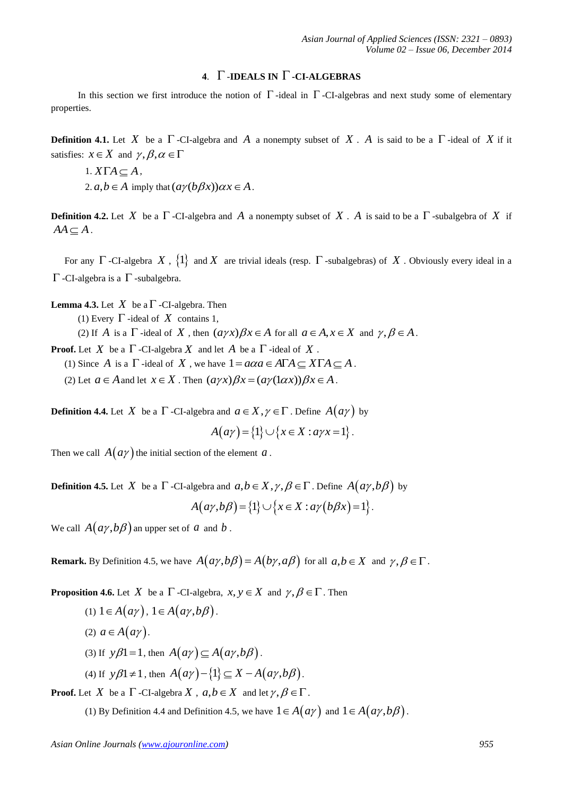## **4.**  $\Gamma$ -**IDEALS IN**  $\Gamma$ -**CI-ALGEBRAS**

In this section we first introduce the notion of  $\Gamma$ -ideal in  $\Gamma$ -CI-algebras and next study some of elementary properties.

**Definition 4.1.** Let X be a  $\Gamma$ -CI-algebra and A a nonempty subset of X. A is said to be a  $\Gamma$ -ideal of X if it satisfies:  $x \in X$  and  $\gamma, \beta, \alpha \in \Gamma$ 

1. 
$$
X\Gamma A \subseteq A
$$
,  
2.  $a, b \in A$  imply that  $(a\gamma(b\beta x))\alpha x \in A$ .

**Definition 4.2.** Let X be a  $\Gamma$ -CI-algebra and A a nonempty subset of X. A is said to be a  $\Gamma$ -subalgebra of X if  $AA \subseteq A$ .

For any  $\Gamma$  -CI-algebra X,  $\{1\}$  and X are trivial ideals (resp.  $\Gamma$  -subalgebras) of X. Obviously every ideal in a  $\Gamma$ -CI-algebra is a  $\Gamma$ -subalgebra.

**Lemma 4.3.** Let  $X$  be a  $\Gamma$  -CI-algebra. Then

(1) Every  $\Gamma$  -ideal of  $X$  contains 1,

(2) If A is a  $\Gamma$ -ideal of X, then  $(a\gamma x)\beta x \in A$  for all  $a \in A, x \in X$  and  $\gamma, \beta \in A$ .

**Proof.** Let X be a  $\Gamma$  -CI-algebra X and let A be a  $\Gamma$  -ideal of X.

**Iof.** Let *A* be a 1 -CI-algebra *A* and let *A* be a 1 -ideal of *A*.<br>(1) Since *A* is a  $\Gamma$ -ideal of *X*, we have  $1 = a\alpha a \in A\Gamma A \subseteq X\Gamma A \subseteq A$ .

(1) since A is a 1-jue at of A, we have  $1 - \alpha \alpha a \in ATA \subseteq \Delta TA \subseteq$ <br>(2) Let  $a \in A$  and let  $x \in X$ . Then  $(a\gamma x)\beta x = (a\gamma(\alpha x))\beta x \in A$ .

**Definition 4.4.** Let X be a  $\Gamma$  -CI-algebra and  $a \in X, \gamma \in \Gamma$  . Define  $A(a\gamma)$  by

$$
A(a\gamma) = \{1\} \cup \{x \in X : a\gamma x = 1\}.
$$

Then we call  $A(a\gamma)$  the initial section of the element a.

**Definition 4.5.** Let X be a  $\Gamma$  -CI-algebra and  $a, b \in X, \gamma, \beta \in \Gamma$ . Define  $A(a\gamma, b\beta)$  by

 $A(a\gamma, b\beta) = \{1\} \cup \{x \in X : a\gamma(b\beta x) = 1\}.$ 

We call  $A(a\gamma, b\beta)$  an upper set of a and b.

**Remark.** By Definition 4.5, we have  $A(a\gamma, b\beta) = A(b\gamma, a\beta)$  for all  $a, b \in X$  and  $\gamma, \beta \in \Gamma$ .

**Proposition 4.6.** Let X be a  $\Gamma$ -CI-algebra,  $x, y \in X$  and  $\gamma, \beta \in \Gamma$ . Then

- (1)  $1 \in A(ay)$ ,  $1 \in A(ay,b\beta)$ .
- (2)  $a \in A(a\gamma)$ .
- (3) If  $y\beta$ 1 = 1, then  $A(ay) \subseteq A(ay,b\beta)$ .
- (4) If  $y\beta 1 \neq 1$ , then  $A(a\gamma) \{1\} \subseteq X A(a\gamma, b\beta)$ .

**Proof.** Let X be a  $\Gamma$  -CI-algebra X,  $a, b \in X$  and let  $\gamma, \beta \in \Gamma$ .

(1) By Definition 4.4 and Definition 4.5, we have  $1 \in A(a\gamma)$  and  $1 \in A(a\gamma, b\beta)$ .